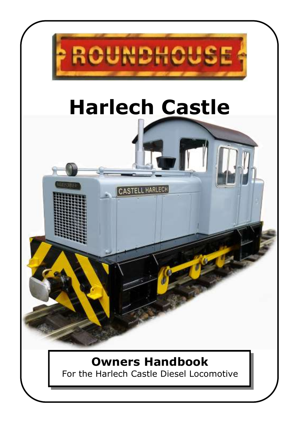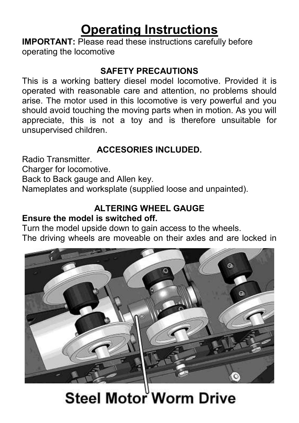# **Operating Instructions**

**IMPORTANT:** Please read these instructions carefully before operating the locomotive

#### **SAFETY PRECAUTIONS**

This is a working battery diesel model locomotive. Provided it is operated with reasonable care and attention, no problems should arise. The motor used in this locomotive is very powerful and you should avoid touching the moving parts when in motion. As you will appreciate, this is not a toy and is therefore unsuitable for unsupervised children.

## **ACCESORIES INCLUDED.**

Radio Transmitter.

Charger for locomotive.

Back to Back gauge and Allen key.

Nameplates and worksplate (supplied loose and unpainted).

## **ALTERING WHEEL GAUGE**

#### **Ensure the model is switched off.**

Turn the model upside down to gain access to the wheels. The driving wheels are moveable on their axles and are locked in



Steel Motor Worm Drive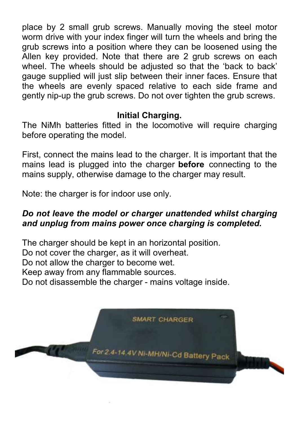place by 2 small grub screws. Manually moving the steel motor worm drive with your index finger will turn the wheels and bring the grub screws into a position where they can be loosened using the Allen key provided. Note that there are 2 grub screws on each wheel. The wheels should be adjusted so that the 'back to back' gauge supplied will just slip between their inner faces. Ensure that the wheels are evenly spaced relative to each side frame and gently nip-up the grub screws. Do not over tighten the grub screws.

#### **Initial Charging.**

The NiMh batteries fitted in the locomotive will require charging before operating the model.

First, connect the mains lead to the charger. It is important that the mains lead is plugged into the charger **before** connecting to the mains supply, otherwise damage to the charger may result.

Note: the charger is for indoor use only.

#### *Do not leave the model or charger unattended whilst charging and unplug from mains power once charging is completed.*

The charger should be kept in an horizontal position. Do not cover the charger, as it will overheat. Do not allow the charger to become wet. Keep away from any flammable sources. Do not disassemble the charger - mains voltage inside.

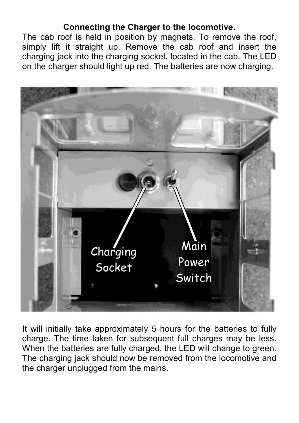#### **Connecting the Charger to the locomotive.**

The cab roof is held in position by magnets. To remove the roof, simply lift it straight up. Remove the cab roof and insert the charging jack into the charging socket, located in the cab. The LED on the charger should light up red. The batteries are now charging.



It will initially take approximately 5 hours for the batteries to fully charge. The time taken for subsequent full charges may be less. When the batteries are fully charged, the LED will change to green. The charging jack should now be removed from the locomotive and the charger unplugged from the mains.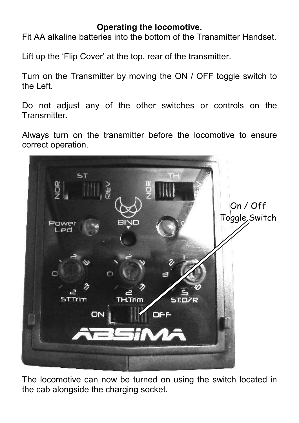#### **Operating the locomotive.**

Fit AA alkaline batteries into the bottom of the Transmitter Handset.

Lift up the 'Flip Cover' at the top, rear of the transmitter.

Turn on the Transmitter by moving the ON / OFF toggle switch to the Left.

Do not adjust any of the other switches or controls on the **Transmitter** 

Always turn on the transmitter before the locomotive to ensure correct operation.



The locomotive can now be turned on using the switch located in the cab alongside the charging socket.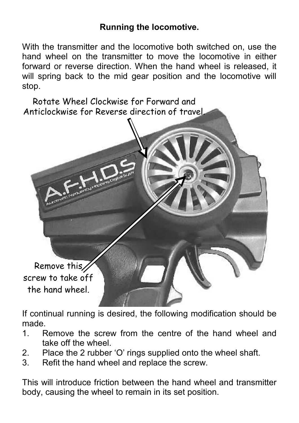#### **Running the locomotive.**

With the transmitter and the locomotive both switched on, use the hand wheel on the transmitter to move the locomotive in either forward or reverse direction. When the hand wheel is released, it will spring back to the mid gear position and the locomotive will stop.

Rotate Wheel Clockwise for Forward and Anticlockwise for Reverse direction of travel.



If continual running is desired, the following modification should be made.

- 1. Remove the screw from the centre of the hand wheel and take off the wheel.
- 2. Place the 2 rubber 'O' rings supplied onto the wheel shaft.
- 3. Refit the hand wheel and replace the screw.

This will introduce friction between the hand wheel and transmitter body, causing the wheel to remain in its set position.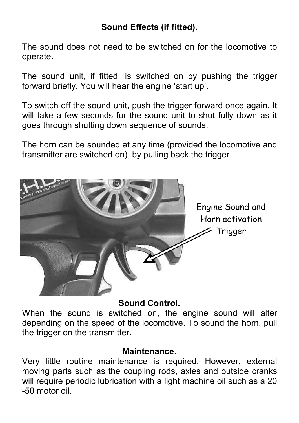## **Sound Effects (if fitted).**

The sound does not need to be switched on for the locomotive to operate.

The sound unit, if fitted, is switched on by pushing the trigger forward briefly. You will hear the engine 'start up'.

To switch off the sound unit, push the trigger forward once again. It will take a few seconds for the sound unit to shut fully down as it goes through shutting down sequence of sounds.

The horn can be sounded at any time (provided the locomotive and transmitter are switched on), by pulling back the trigger.



#### **Sound Control.**

When the sound is switched on, the engine sound will alter depending on the speed of the locomotive. To sound the horn, pull the trigger on the transmitter.

#### **Maintenance.**

Very little routine maintenance is required. However, external moving parts such as the coupling rods, axles and outside cranks will require periodic lubrication with a light machine oil such as a 20 -50 motor oil.